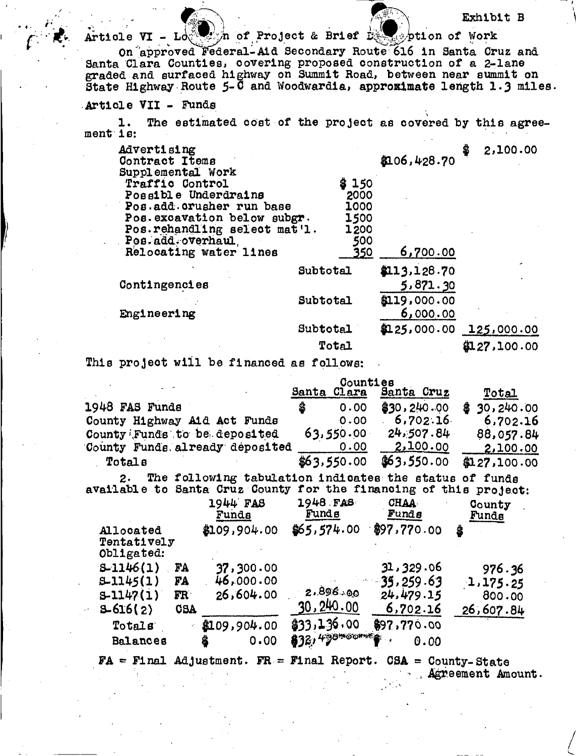$\mathbf n$  of Project & Brief  $\mathbf E$ ption of Work **Article VI** 

On approved Federal-Aid Secondary Route 616 in Santa Cruz and Santa Clara Counties, covering proposed construction of a 2-lane<br>graded and surfaced highway on Summit Road, between near summit on<br>State Highway Route 5-C and Woodwardia, approximate length 1.3 miles.

### Article VII - Funds

The estimated cost of the project as covered by this agree-1.  $ment$  is:

| Advertising<br>Contract Items                                                                                                                            |                                       | \$106,428.70            | \$<br>2,100.00 |
|----------------------------------------------------------------------------------------------------------------------------------------------------------|---------------------------------------|-------------------------|----------------|
| Supplemental Work<br>Traffic Control<br>Possible Underdrains<br>Pos.add.orusher run base<br>Pos. excavation below subgr.<br>Pos.rehandling select mat'l. | \$150<br>2000<br>1000<br>1500<br>1200 |                         |                |
| Pos.add.overhaul<br>Relocating water lines                                                                                                               | 500<br>350                            | 6,700.00                |                |
|                                                                                                                                                          | Subtotal                              | \$113,128.70            |                |
| Contingencies                                                                                                                                            |                                       | 5,871.30                |                |
|                                                                                                                                                          | Subtotal                              | \$119,000.00            |                |
| Engineering                                                                                                                                              |                                       | 6,000.00                |                |
|                                                                                                                                                          | Subtotal                              | \$125,000.00 125,000.00 |                |
|                                                                                                                                                          | Total                                 |                         | \$127,100.00   |
|                                                                                                                                                          |                                       |                         |                |

This project will be financed as follows:

|                                | Counties    |             |               |
|--------------------------------|-------------|-------------|---------------|
|                                | Santa Clara | Santa Cruz  | Total         |
| 1948 FAS Funds                 | \$<br>0.00  | \$30,240.00 | 8, 30, 240.00 |
| County Highway Aid Act Funds   | 0.00        | 6,702.16    | 6,702.16      |
| County Funds to be deposited   | 63,550.00   | 24,507.84   | 88,057.84     |
| County Funds already deposited | 0.00        | 2,100.00    | 2,100.00      |
| Totals                         | \$63,550.00 | \$63,550.00 | \$127,100.00  |

2. The following tabulation indicates the status of funds available to Santa Cruz County for the financing of this project:

|                                        |     | 1944 FAS<br>Funds | 1948 FAB<br>Funds   | <b>CHAA</b><br>Funds | County<br>Funds |
|----------------------------------------|-----|-------------------|---------------------|----------------------|-----------------|
| Allocated<br>Tentatively<br>Obligated: |     | \$109,904.00      | \$65,574.00         | 0.897,770.00         | \$              |
| $5 - 1146(1)$                          | FA  | 37,300.00         |                     | 31,329.06            | 976.36          |
| $5 - 1145(1)$                          | FA  | 46,000.00         |                     | $-35,259.63$         | 1.175.25        |
| $5 - 1147(1)$                          | FR  | 26,604.00         | 2,896.00            | 24,479.15            | 800.00          |
| $3-616(2)$                             | CSA |                   | 30,240.00           | 6,702.16             | 26,607.84       |
| Totals                                 |     | \$109,904.00      | \$33,136,00         | \$97,770.00          |                 |
| <b>Balances</b>                        |     | 0.00              | \$32,438 ********** | 0.00<br>一度           |                 |

 $FA =$  Final Adjustment. FR = Final Report. CSA = County-State

Agreement Amount.

Exhibit B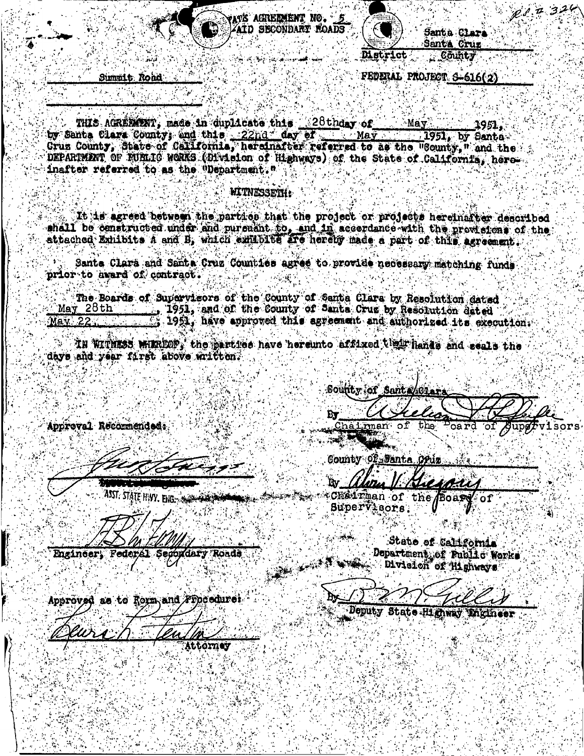

Santa Clara **Santa Cruz Metrict County** 

Summit Rond

FEDERAL PROJECT S-616(2)

THIS AGREEMENT, made in duplicate this 28thday of May 1951, 1951, 1952, DEPARTMENT OF RUBLIC WORKS (Division of Highways) of the State of California, here inafter referred to as the "Department."

### **WITNESSETT!:**

It is agreed between the partice that the project or projects hereinateer described shall be constructed under and purentint to, and in accordance with the provisions of the

Santa Clara and Santa Cruz Counties agree to provide necessary matching funds prior to award of contract.

The Boards of Supervisors of the County of Santa Clara by Resolution dated 1951, and of the County of Santa Cruz by Resolution dated  $May$  28th .1951. have approved this agreement and authorized its execution. May 22

IN WITHESS WITHER's the partice have hereunto affixed their hands and seals the days and year first above written.

County of Santa 101ars

County of Janta Ofuz

فيست

By adar

ËT. Supervisors Chairman of  $th$ <sup> $\theta$ </sup>

oard

h B.U

Approval Recormended:

ASST: STATE HWY. ENG. SAN AND LAND

chairman of the Board Supervisors

Fagineer, Federal Secondary Roads

Approved as to Roym and Frocedure:

wrch Attorney

State of California Department of Public Works Division of Highways

Deputy State Highway Inglineer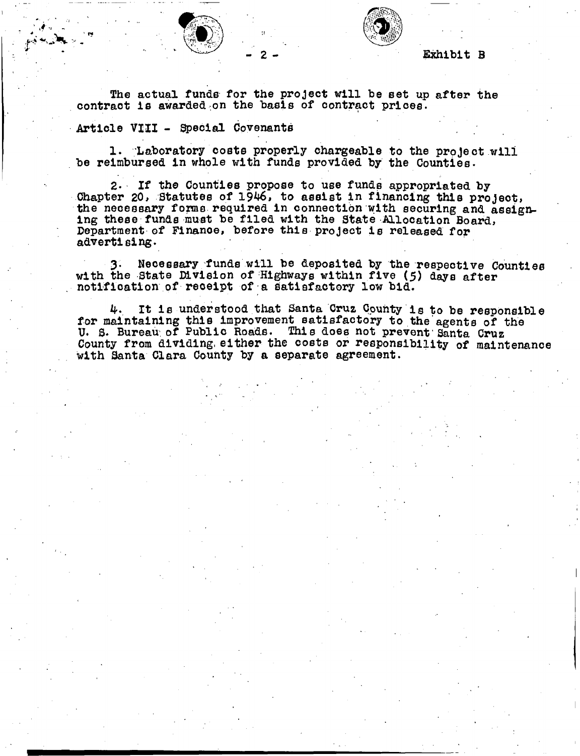

# **- 2 - Exhibit B**

The actual funds for the project will be set up after the contract is awarded on the basis of contract prices.

### **Articl e VII I - Special Covenants**

1. Laboratory costs properly chargeable to the project will be reimbursed in whole with funds provided by the Counties.

2. If the Counties propose to use funds appropriated by Chapter 20, Statutes of 1946, to assist in financing this project, the necessary forms required in connection with securing and assigning these funds must be filed with the State Allocation Board, Department of Finance, before this project is released for **advertising-**

**3. Necessary funds wil l be deposited by the respective Counties**  with the State Division of Highways within five (5) days after notification of receipt of a satisfactory low bid.

**I t i s understood tha t Santa Cruz County i s to be responsible**  4. for maintaining this improvement satisfactory to the agents of the **U. S. Bureau of Publi c Roads. This does not prevent' Santa Cruz**  County from dividing either the costs or responsibility of maintenance **with Santa Clara County by a separate agreement.**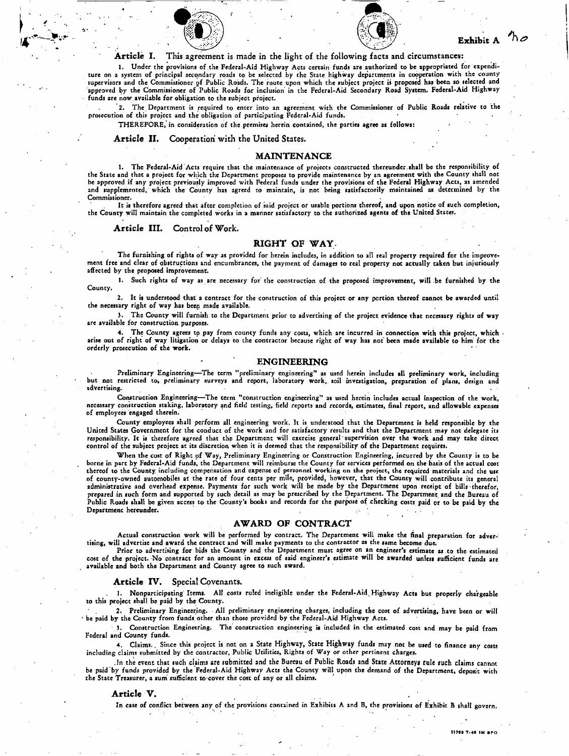



Exhibit A

### **Article I.** This agreement is made in the light of the following facts and circumstances:

**1. Under the provisions of the Federal-Aid Highway Acts certain funds are authorized to be appropriated for expenditure on a system of principal secondary roads to be selected by the State highway departments in cooperation with the county supervisors and the Commissioner of Public Roads. The route upon which the subject project is proposed has been so selected and approved by the Commissioner of Public Roads for inclusion' in the Federal-Aid Secondary Road System. Federal-Aid Highway funds are now. available for obligation to the subject project.** 

**2. The Department is required to enter into an agreement with the Commissioner of Public Roads relative to the**  prosecution of this project and the obligation of participating Federal-Aid funds.

**THEREFORE, in consideration of the premises herein contained, the parties agree as follows:** 

**Article II.** Cooperation with the United States.

### **MAINTENANCE**

1. The Federal-Aid Acts require that the maintenance of projects constructed thereunder shall be the responsibility of<br>the State and that a project for which the Department proposes to provide maintenance by an agreement w **and supplemented, which the County has agreed to maintain, is not being satisfactorily maintained as determined by the Commissioner.** 

**It is therefore agreed that after completion of said project or usable portions thereof, and upon notice of such completion, the County will maintain the completed works in a manner satisfactory to the authorized agents of the United States.** 

### **Article III.** Control of Work.

### **RIGHT OF WAY**

**The furnishing of rights of way as provided for herein includes, in addition to all real property required for the improvement free and clear of obstructions and encumbrances, the payment of damages to real property not actually taken but injuriously affected by the proposed improvement.** 

**1. Such rights of way as are necessary for'the construction of the proposed improvement, will .be furnished by the County.** 

**2. It is understood that a contract for the construction of this project or any portion thereof cannot be awarded until the necessary right of way has been made available.** 

**3. The County will furnish to the Department prior to advertising of the project evidence that necessary rights of way are available for construction purposes.** 

The County agrees to pay from county funds any costs, which are incurred in connection with this project, which **arise out of right of way litigation or delays to the contractor because right of way has not been made available to him for the orderly prosecution of the work.** 

### **ENGINEERING**

Preliminary Engineering—The term "preliminary engineering" as used herein includes all preliminary work, including<br>but not restricted to, preliminary surveys and report, laboratory work, soil investigation, preparation of **advertising.** 

**Construction Engineering—The term "construction engineering" as used herein includes actual inspection of the work, necessary construction staking, laboratory and field testing, field reports and rccords, estimates, final report, and allowable expenses of employees engaged therein.** 

**County employees shall perform all engineering work. It is understood that the Department is held responsible by the United States Government for the conduct of the work and for satisfactory results and that the Department may not delegate its responsibility. It is therefore agreed that the Department will exercise general supervision over the work and may take direct control of the subject project at its discretion when it is deemed that the responsibility of the Department requires.** 

**When the cost of Right of Way, Preliminary Engineering or Construction Engineering, incurred by the County is to be borne in part by Federal**-Aid **funds, the Department** will **reimburse the County for services performed on the basis of the actual cost**  thereof to the County including compensation and expense of personnel working on the project, the required materials and the use<br>of county-owned automobiles at the rate of four cents per mile, provided, however, that the C **administrative and overhead expense. Payments for such work will be made by the Department upon receipt of bills therefor, prepared in such form and supported by such detail as may be prescribed by the Department. The Department and the Bureau of Public Roads shall be given access to the County's books and records for the purpose of checking costs paid or to be paid by the Department hereunder.** 

### **AWARD OF CONTRACT**

**Actual construction work will be performed by contract. The Department will make the final preparation for advertising, will advertise and award the contract and will make payments to the contractor as the same become due.** 

**Prior to advertising for bids the County and the Department must agree on an engineer's estimate as to the estimated**  cost of the project. No contract for an amount in excess of said engineer's estimate will be awarded unless sufficient funds are **available and both the Department and County agree to such award.** 

### **Article IV.** Special Covenants.

**1. Nonparttcipating Items. All costs ruled ineligible under the Federal-Aid. Highway Acts but properly chargeable to this project shall be paid by the County.** 

2. Preliminary Engineering. All preliminary engineering charges, including the cost of advertising, have been or will<br>be paid by the County from funds other than those provided by the Federal-Aid Highway Acts.

**3. Construction Engineering. The construction engineering is included in the estimated cost and may be paid from Federal and County funds.** 

**4. Claims.. Since this project is not on a State** Highway, **State** Highway **funds may not be used to finance any costs including claims submitted by the contractor, Public Utilities, Rights of Way or other pertinent charges.** 

**.In the event that such claims are submitted and the Bureau of Public Roads and State Attorney! rule such claims cannot be paid by funds provided by the Federal-Aid Highway Acts the County will upon the demand of the Department, deposit with the State Treasurer, a sumi sufficient to cover the cost of any or all claims.** 

#### **Article V.**

**In case of conflict between any of the provisions contained in Exhibits A and B, the provisions of Exhibit B shall govern.**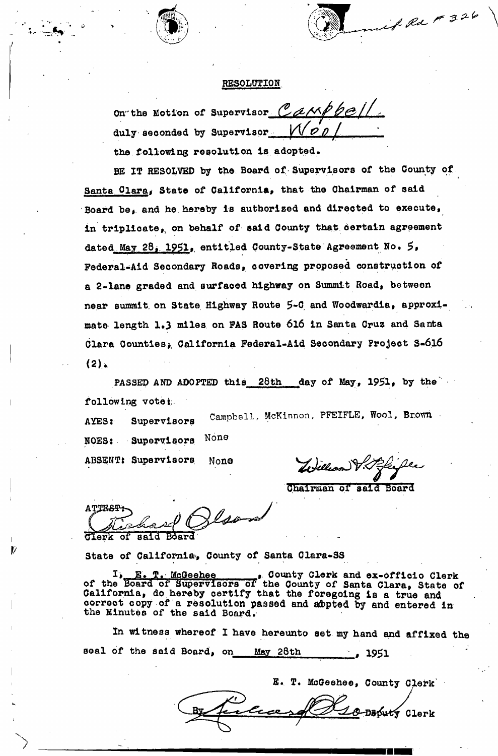# **RESOLUTION**

On the Motion of Supervisor CaMPbell duly seconded by Supervisor

**the followin g resolutio n i s adopted.** 

**BE IT RESOLVED by the Board of Supervisors of the County of**  Santa Clara, State of California, that the Chairman of said Board be, and he hereby is authorized and directed to execute, in triplicate, on behalf of said County that certain agreement dated May 28, 1951, entitled County-State Agreement No. 5, **Federal-Aid Secondary Roads, covering proposed construction of a 2-lane graded and surfaced highway on Summit Road, between near summit, on State Highway Route 5-0. and Woodwardia, approxi**mate length 1.3 miles on FAS Route 616 in Santa Cruz and Santa **Clara Counties**, California Federal-Aid Secondary Project S-616  $(2)$ .

PASSED AND ADOPTED this 28th day of May, 1951, by the **following votei;.** 

**AYES: Supervisors Campbell, McKinnon, PFEIFLE, Wool, Brown NOES: Supervisors**  $Non<sub>e</sub>$ 

Totellian V. Phele

& Rd # 326

**Chairman of said Board** 

ATTEST lson

**ABSENT: Supervisors Non0** 

 $\sigma$ lark of **sai d Bdard** 

**State of California , County of Santa Clara-SS** 

I<sub>p</sub> E. T. McGeehee , County Clerk and ex-officio Clerk **of the Board of Supervisors of the County of Santa Clara , State of California , do,hereby certif y tha t the foregoing i s a true and**  correct copy of a resolution passed and adpted by and entered in the Minutes of the said Board.

In witness whereof I have hereunto set my hand and affixed the **seal of the said Board, on May 28th 1951** 

**E. T. McGeehee, County Clerk** 

O Deputy Clerk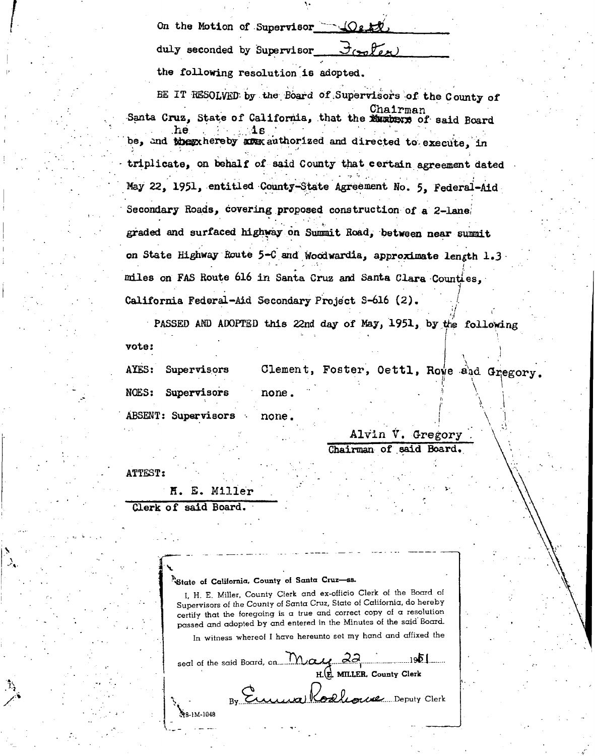On the Motion of Supervisor **Cast** duly seconded by Supervisor fooler the following resolution is adopted.

BE IT RESOLVED by the Board of Supervisors of the County of **Chairman**  Santa Cruz, State of California, that the *funders* of said Board **• .he. ' - . -..vis \* ' • : .'**  be, and **they** hereby attex authorized and directed to execute, in *triplicate, on behalf of said County that certain agreement dated* **triplicate, on behalf of said County that certain agreement dated ftay 22, 1951, entitled County-State Agreement No. 5, Federal-Aid**  Secondary Roads, covering proposed construction of a 2-lane **Secondary Roads, covering proposed construction of a 2-lane,**  graded and surfaced highway on Summit Road, between near summit **graded and surfaced highway on Summit Road, between near surnait on State Highway Route 5-C and Wobdwardia, approximate length 1.3**  miles on FAS Route 616 in Santa Cruz and Santa Clara Counties, **miles on FAS Route 616 i n Santa Cruz and Santa Clara -Counties, California Federal-Aid Secondary Project S-616 (2). .***. I* **<sup>i</sup>**

PASSED AND ADOPTED this 22nd day of May, 1951, by the following **vote:** 

| AYES: Supervisors          | Clement, Foster, Oettl, Rowe and Gregory |  |  |  |
|----------------------------|------------------------------------------|--|--|--|
| NOES: Supervisors          | none.                                    |  |  |  |
| <b>ABSENT: Supervisors</b> | none.                                    |  |  |  |

# Alvin V. Gregor

### Chairman of said Board

**ATTEST:** 

**H. E. Mille r Clerk of said Board,** 

**By By By** By By  $\frac{By}{AB-1M-1048}$ 

# **^State of California. County of Santa Cruz—ss.**

I, H. E. Miller, County Clerk and ex-officio Clerk of the Board of Supervisors of the County of Santa Cruz, State of California, do hereby certify that the foregoing is a true and correct copy of a resolution passed and adopted by and entered in the Minutes of the said Board.

In witness whereof I have hereunto set my hand and affixed the

| seal of the said Board, on May 23 |                            |
|-----------------------------------|----------------------------|
|                                   | H. E. MILLER. County Clerk |
| Emma Kosleonie Deputy Clerk       |                            |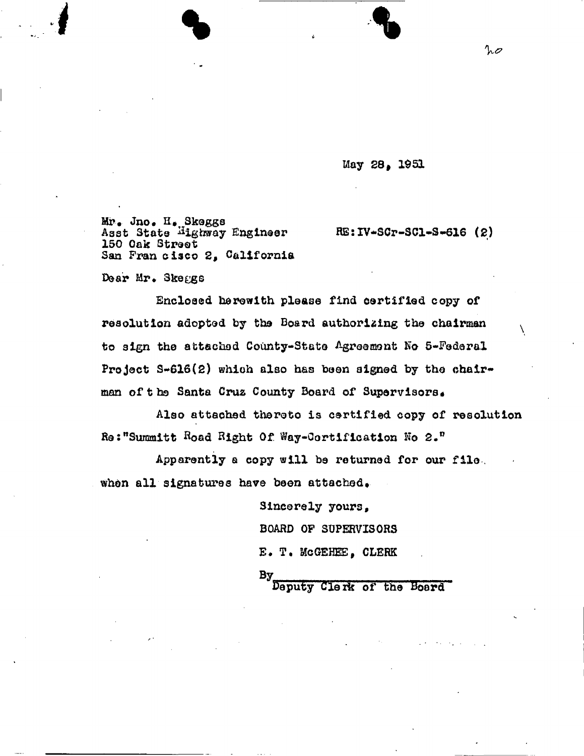May 28, 1951

Mr. Jno. H. Skegge<br>Asst State Highway Engineer RE: IV-SCr-SC1-S-616 (2) 150 Oak Street San Francisco 2, California

Dear Mr. Skeggs

Enclosed herewith please find certified copy of resolution adopted by the Board authorizing the chairman to sign the attached County-State Agreement No 5-Federal Project S-616(2) which also has been signed by the chairman of the Santa Cruz County Board of Supervisors.

Also attached thereto is certified copy of resolution Re:"Summitt Road Right Of Way-Cortification No 2."

Apparently a copy will be returned for our file. when all signatures have been attached.

> Sincerely yours. BOARD OF SUPERVISORS E. T. MCGEHEE, CLERK

By Deputy Clerk of the Board

 $20$ 

X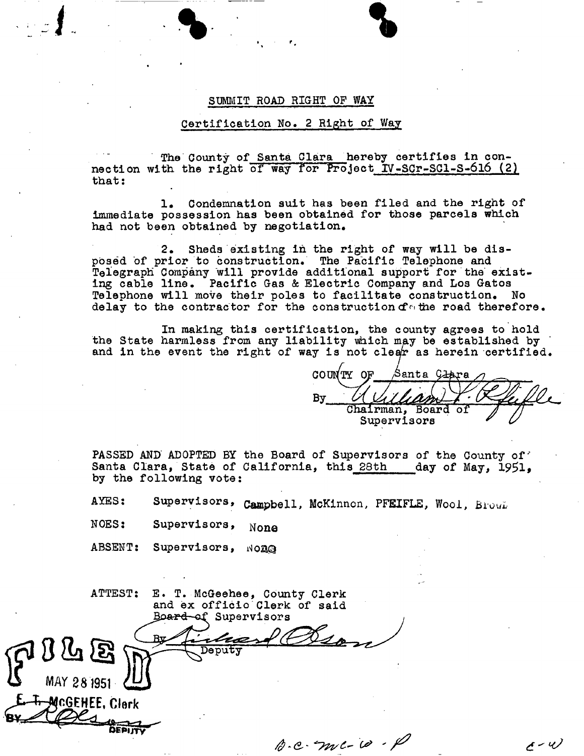### **SUMMIT ROAD RIGHT OF WAY**

*<sup>t</sup>*% *%* 

# Certification No. 2 Right of Way

The County of Santa Clara hereby certifies in con**nection with the right of way for Project IV-SCr-SCl-S-616 (2) that:** 

**1.** Condemnation suit has been filed and the right of **immediate possession has been obtained for those parcels which**  had not been obtained by negotiation.

2. Sheds existing in the right of way will be disposed of prior to construction. The Pacific Telephone and Telegraph Company will provide additional support for the exist**ing cable line . Pacifi c Gas & Electri c Company and Los Gatos**  Telephone will move their poles to facilitate construction. No delay to the contractor for the construction  $\mathbf{f} \circ \mathbf{f}$  the road therefore.

**I n making thi s certification , the county agrees to hold**  the State harmless from any liability which may be established by and in the event the right of way is not clear as herein certified.

COUNTY OF Santa C<del>la</del>ra By **Chairman, Board of Supervisors** 

 $\mathcal{E}$ - $\psi$ 

PASSED AND ADOPTED BY the Board of Supervisors of the County of " Santa Clara, State of California, this 28th day of May, 1951. by the following vote:

 $0. c.$  mc-10.  $\varphi$ 

**AYES; Supervisors, Campbell, McKinnon, PFEIFLE, Wool, Browi** 

**NOES:**  Supervisors, None

**ABSENT:** Supervisors, NORG

**ATTEST: E. T. McGeehee, County Clerk**  and ex officio Clerk of said **Supervisors** 

Bx Deputy

**MAY 281951 cGEHEE, Clerk DEPITY**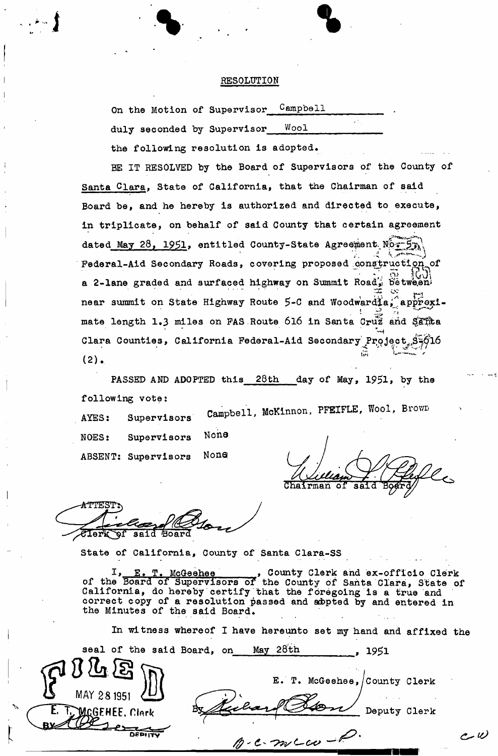### **RESOLUTION**

 $\mathbf{A}$ 

**On the Motion of Supervisor Campbell duly seconded by Supervisor Wool**  the following resolution is adopted.

**BE IT RESOLVED by the Board of Supervisors of the County of**  Santa Clara, State of California, that the Chairman of said **Board be, and he hereby i s authorized and directed to execute,**  in triplicate, on behalf of said County that certain agreement dated May 28, 1951, entitled County-State Agreement Nor 57. **\ 4** *j*  **Federal-Aid Secondary Roads, covering proposed construction of**  a 2-lane graded and surfaced highway on Summit Road, between near summit on State Highway Route 5-C and Woodwardia, approxi**near summit on State Highway Route 5-C and Woodward!a,' .approximate length 1.3 miles on FAS Route 6l6 I n Santa CruS arid Sffifca. Clara Counties, Californi a Federal-Aid Secondary Project**  t tn  $(2)$ .

**(2).**  PASSED AND ADOPTED this 28th day of May, 1951, by the **following vote:** 

AYES: Supervisors Campbell, McKinnon, PFEIFLE, Wool, Brown

**NOES: Supervisors None** 

**ABSENT: Supervisors None,** 

**Chairman of** 

W

87778 **>f said ©oard** 

**State of California , County of Santa Clara-SS** 

I, E. T. McGeehee , County Clerk and ex-officio Clerk **of the Board of Supervisors of the County of Santa Clara , State of California , do hereby certif y tha t the foregoing i s a true and**  correct copy of a resolution passed and adpted by and entered in **the Minutes of the said Board.** 

|                                                               |                | In witness whereof I have hereunto set my hand and affixed the |                               |                              |  |
|---------------------------------------------------------------|----------------|----------------------------------------------------------------|-------------------------------|------------------------------|--|
|                                                               |                | seal of the said Board, on                                     | May 28th                      | 1951                         |  |
| $\mathcal{A} \mathcal{Y} \mathcal{U} \mathcal{B} \mathcal{W}$ |                |                                                                |                               |                              |  |
| $\sum$ MAY 28 1951                                            |                |                                                                |                               | E. T. McGeehee, County Clerk |  |
|                                                               | MCGEHEE. Clark |                                                                |                               | Deputy Clerk                 |  |
|                                                               |                |                                                                | $b_1$ $c_2$ and $c_3$ - $c_4$ |                              |  |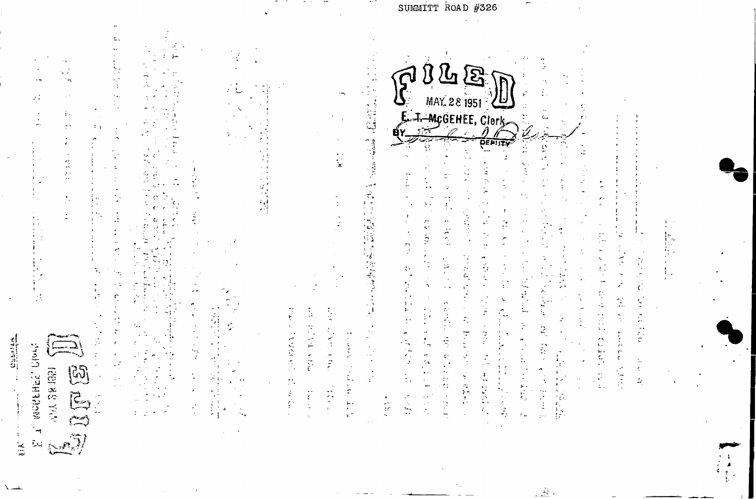|                               | T. MORFHET<br>$\frac{1}{4}$<br>ki k                                                                                                                                                                                                                                                                                                                                                                                                                                                                   |                   |
|-------------------------------|-------------------------------------------------------------------------------------------------------------------------------------------------------------------------------------------------------------------------------------------------------------------------------------------------------------------------------------------------------------------------------------------------------------------------------------------------------------------------------------------------------|-------------------|
|                               | 1981 8 8 1991<br>$\widehat{\mathbb{G}}$<br>$\mathbb{R}^{\mathfrak{N}}$<br>$\tilde{\mathbf{L}}_{\text{tot}}$                                                                                                                                                                                                                                                                                                                                                                                           |                   |
|                               | $\frac{1}{2}$ .                                                                                                                                                                                                                                                                                                                                                                                                                                                                                       |                   |
| $\sim 100$                    | $\frac{1}{2}$                                                                                                                                                                                                                                                                                                                                                                                                                                                                                         |                   |
|                               |                                                                                                                                                                                                                                                                                                                                                                                                                                                                                                       |                   |
|                               | $\sim$<br>$\frac{1}{\sqrt{2}}\sum_{\mathbf{k},\mathbf{k}'}\left[\frac{\partial\mathbf{r}}{\partial\mathbf{k}}\right]_{\mathbf{k},\mathbf{k}'}$                                                                                                                                                                                                                                                                                                                                                        |                   |
|                               | होती हो।<br>स<br>热量合金                                                                                                                                                                                                                                                                                                                                                                                                                                                                                 |                   |
|                               | $\frac{1}{2}$<br>医血管炎 医肝气肿                                                                                                                                                                                                                                                                                                                                                                                                                                                                            |                   |
|                               | $\mathbb{C}$<br>$\begin{array}{c} \n\mathbf{a} \\ \mathbf{b} \\ \mathbf{c}\n\end{array}$<br>$\frac{1}{\sqrt{2}}\sum_{i=1}^{n-1}\frac{1}{i} \sum_{j=1}^{n-1} \frac{1}{j} \sum_{j=1}^{n-1} \frac{1}{j} \sum_{j=1}^{n-1} \frac{1}{j} \sum_{j=1}^{n-1} \frac{1}{j} \sum_{j=1}^{n-1} \frac{1}{j} \sum_{j=1}^{n-1} \frac{1}{j} \sum_{j=1}^{n-1} \frac{1}{j} \sum_{j=1}^{n-1} \frac{1}{j} \sum_{j=1}^{n-1} \frac{1}{j} \sum_{j=1}^{n-1} \frac{1}{j} \sum$<br>$\epsilon$ sets $\gamma$<br>$\omega_{\rm{eff}}$ |                   |
|                               | ัญ<br>$\frac{1}{2} \frac{1}{2}$<br>$\frac{1}{2} \sum_{i=1}^{n} \frac{1}{2} \sum_{i=1}^{n} \frac{1}{2} \sum_{i=1}^{n} \frac{1}{2} \sum_{i=1}^{n} \frac{1}{2} \sum_{i=1}^{n} \frac{1}{2} \sum_{i=1}^{n} \frac{1}{2} \sum_{i=1}^{n} \frac{1}{2} \sum_{i=1}^{n} \frac{1}{2} \sum_{i=1}^{n} \frac{1}{2} \sum_{i=1}^{n} \frac{1}{2} \sum_{i=1}^{n} \frac{1}{2} \sum_{i=1}^{n} \frac{1}{2} \sum_{i=1}^{n$                                                                                                    |                   |
| $\mathcal{F}(\mathcal{A})$    | 925<br>MAY 28 1951<br>T-MCGEHEE, Clerk<br>こく なわすい                                                                                                                                                                                                                                                                                                                                                                                                                                                     | SUMMITT ROAD #326 |
|                               | DEPT<br>またもの つかばか<br>医子宫神经 医神经<br>$\sim$                                                                                                                                                                                                                                                                                                                                                                                                                                                              |                   |
| $\mathcal{L}_{\mathcal{L}}$ . | 有效的复数<br>计程序 经保险金额                                                                                                                                                                                                                                                                                                                                                                                                                                                                                    |                   |
|                               | 位式                                                                                                                                                                                                                                                                                                                                                                                                                                                                                                    |                   |
|                               |                                                                                                                                                                                                                                                                                                                                                                                                                                                                                                       |                   |
|                               | $\begin{pmatrix} 1 & 0 \\ 0 & 0 \\ 0 & 0 \end{pmatrix}$                                                                                                                                                                                                                                                                                                                                                                                                                                               |                   |
|                               | $\frac{1}{\sqrt{2}}$                                                                                                                                                                                                                                                                                                                                                                                                                                                                                  |                   |
|                               |                                                                                                                                                                                                                                                                                                                                                                                                                                                                                                       |                   |

 $\Delta \rightarrow \infty$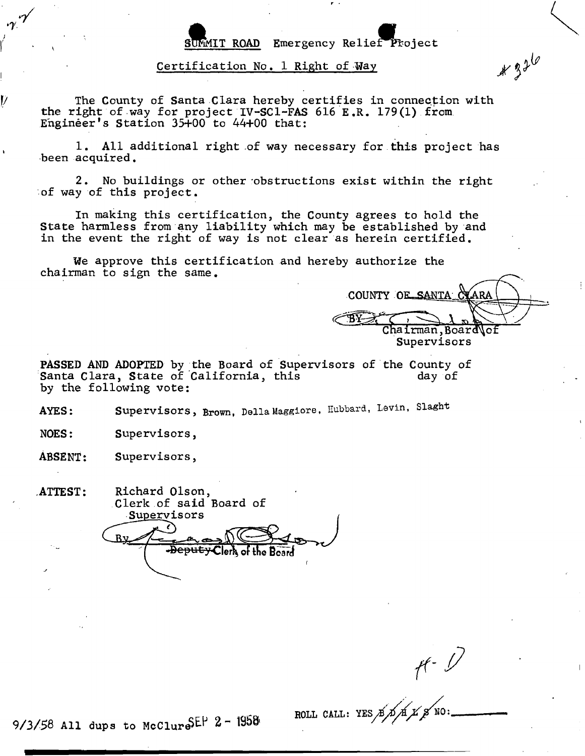$\frac{1}{2}$ **UMMIT ROAD** Emergency Relief Project

# **Certification No. 1 Right of Way**

The County of Santa Clara hereby certifies in connection with the right of way for project IV-SC1-FAS 616 E.R. 179(1) from **Engineer's Station 35+00 to 44+00 that:** 

**1.** All additional right of way necessary for this project has **been acquired.** 

2. No buildings or other obstructions exist within the right **of way of this project.** 

In making this certification, the County agrees to hold the State harmless from any liability which may be established by and in the event the right of way is not clear as herein certified.

We approve this certification and hereby authorize the **chairman to sign the same,** 

COUNTY OF SANTA CYARA **Cha irman, Boar** *d>\of*  **Supervisors** 

 $*326$ 

**PASSED AND ADOPTED by the Board of Supervisors of the County of Santa Clara**, **State of California**, this **state of the clay** of **by the following vote:** 

AYES: Supervisors, Brown, Della Maggiore, Hubbard, Levin, Slaght

**NOES: Supervisors,** 

V

**ABSENT: Supervisors,** 

**ATTEST: Richard Olson, Clerk of said Board of Supervisors** 

Rv Deputy Clerk of the Beard

**p r <sup>u</sup> " 1C1£Q ROLL CALL: YE£ >:,** 

**9/3/58 Al l dups to McClure^P 2 "**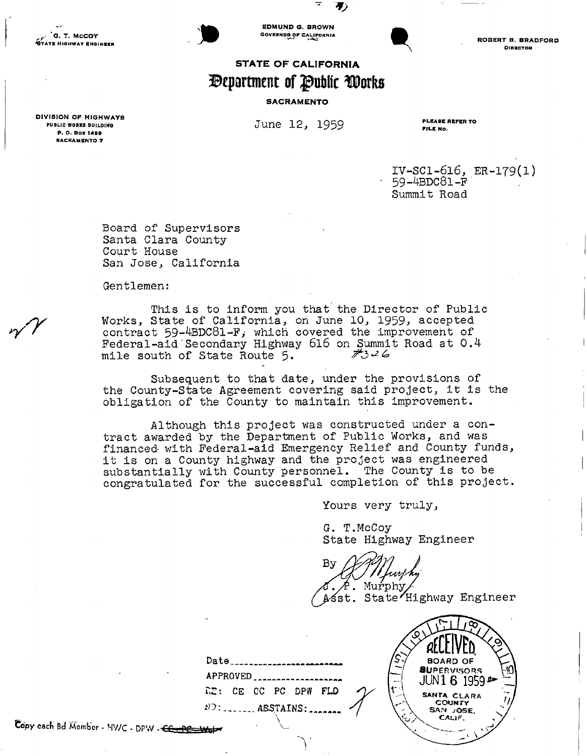G. T. MCCOY **BTATE HIGHWAY ENGINEER** 



EDMUND G. BROWN GOVERNOB OF CALIFORNIA



# STATE OF CALIFORNIA **department of public UDorks**

### **SACRAMENTO**

June 12, 1959 PLEASE REFER TO

PILE NO.

IV-SC1-616, ER-179(1) 59-4BDC81-F Summit Road

Board of Supervisors Santa Clara County Court House San Jose, California

Gentlemen:

This is to inform you that the Director of Public Works, State of California, on June 10, 1959, accepted contract  $59-4BDC81-F$ , which covered the improvement of Federal-aid Secondary Highway 616 on Summit Road at 0.4<br>mile south of State Route 5. 2326 mile south of State Route 5.

Subsequent to that date, under the provisions of the County-State Agreement covering said project, it is the obligation of the County to maintain this improvement.

Although this project was constructed under a contract awarded by the Department of Public Works, and was financed- with Federal-aid Emergency Relief and County funds, it is on a County highway and the project was engineered substantially with County personnel. The County is to be congratulated for the successful completion of this project.

Yours very truly,

G. T.McCoy State Highway Engineer

Bу uvin P. Muŕphy Asst. State/Highway Engineer

**Date APPROVED . CE GC PC DPW FLO tO: ..ABSTAINS:** 

Copy each Bd Member - HWC - DPW - CC - PC - Wel-



*^/y* 

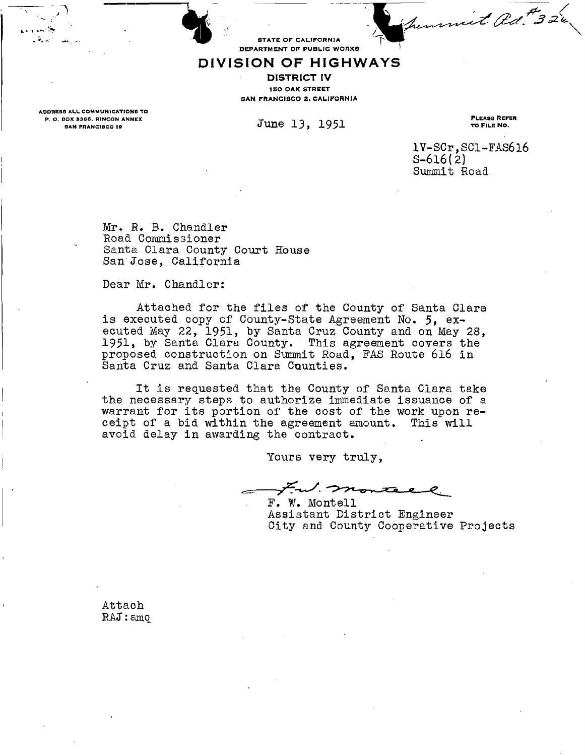STATE OF CALIFORNIA DEPARTMENT OF PUBLIC WORKS

# **DIVISIO N O F HIGHWAY S**

DISTRICT IV **150 OAK STREET** SAN FRANCISCO 2, CALIFORNIA

ADDRES S ALL COMMUNICATIONS TO P. O. BOX 3366 . RINCON ANNEX SAN FRANCISCO 10

У.

June 13, 1951 PLEASE REFER

TO FILE NO.

hemmit Od. 326

lY-SCr,SC1-FAS616 **S-6l6(2)**  Summit Road

Mr. R. B. Chandler Road Commissioner Santa Clara County Court House San Jose, California

Dear Mr. Chandler:

Attached for the files of the County of Santa Clara is executed copy of County-State Agreement No. 5, executed May 22, 1951, by Santa Cruz County and on May 28, 1951, by Santa Clara County. This agreement covers the proposed construction on Summit Road, FAS Route 616 in Santa Cruz and Santa Clara Counties.

It is requested that the County of Santa Clara take the necessary steps to authorize immediate issuance of a warrant for its portion of the cost of the work upon receipt of a bid within the agreement amount. This will avoid delay in awarding the contract.

Yours very truly,

1. montee

F. W. Montell Assistant District Engineer City and County Cooperative Projects

Attach  $RAJ:$  amq.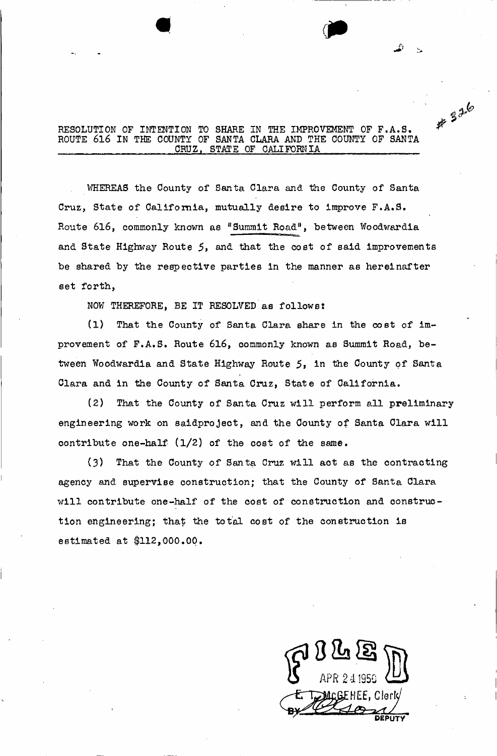# RESOLUTION OF INTENTION TO SHARE IN THE IMPROVEMENT OF F.A.S.  $*33$ **ROUTE 616 IN THE COUNTY OF SANTA CLARA AND THE COUNTY OF SANTA CRUZ, STATE OF CALIFORNIA**

**WHEREAS the County of Santa Clara and the County of Santa Cruz, State of California , mutually desire to improve F.A.S. Route 616, commonly known as "Summit Road<sup>11</sup> , between Woodwardia**  and State Highway Route 5, and that the cost of said improvements be shared by the respective parties in the manner as hereinafter **set forth ,** 

**NOW THEREFORE, BE IT RESOLVED as follows ;** 

**(1) That the County of Santa Clara share in the cost of im**provement of F.A.S. Route 616, commonly known as Summit Road, between Woodwardia and State Highway Route 5, in the County of Santa Clara and in the County of Santa Cruz, State of California.

**(2) That the County of Santa Cruz wil l perform al l preliminary**  engineering work on saidproject, and the County of Santa Clara will **contribute one-half (1/2) of the cost of the same.** 

(3) That the County of Santa Cruz will act as the contracting **agency and supervise construction; that the County of Santa Clara**  will contribute one-half of the cost of construction and construction engineering; that the total cost of the construction is **estimated at \$112,000.00.** 

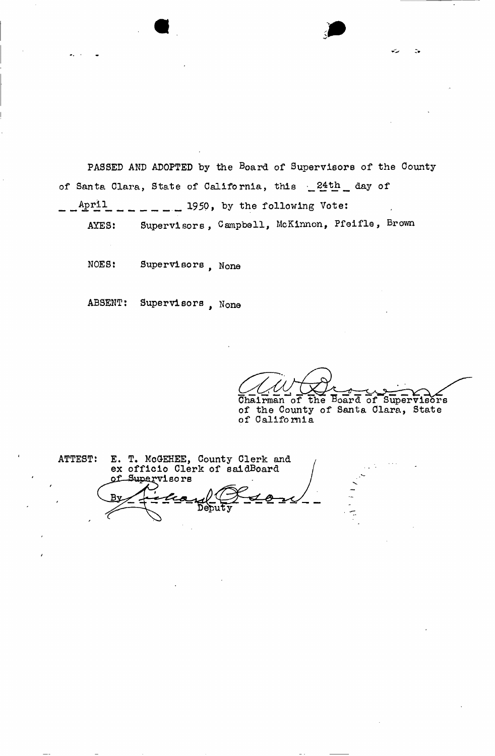PASSED AND ADOPTED by the Board of Supervisors of the County of Santa Clara, State of California, this 24th day of April  $-$  1950, by the following Vote:

Supervisors, Campbell, McKinnon, Pfeifle, Brown AYES:

Supervisors, None NOES:

**ABSENT:** Supervisors, None

Chairman of the Board of Supervisors

of the County of Santa Clara, State<br>of California

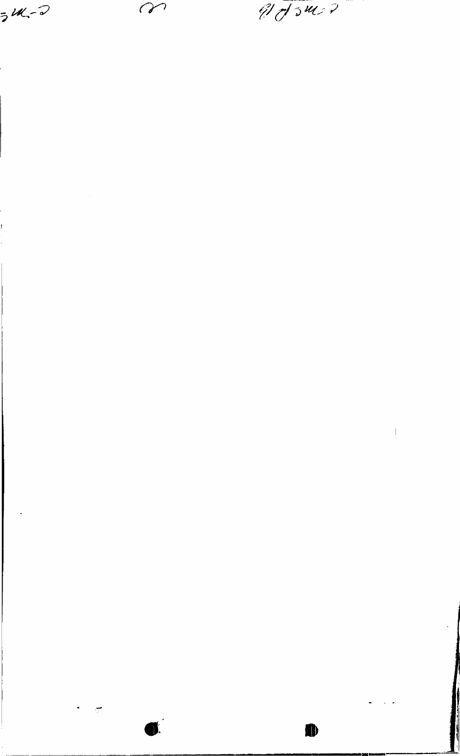$54 - 2$  $\curvearrowright$  $975427$  $\hat{\mathbf{I}}$ 

 $\frac{1}{\sqrt{2}}$ 

 $\blacksquare$ 

 $\begin{array}{c} \begin{array}{c} \textbf{1} \end{array} \end{array}$